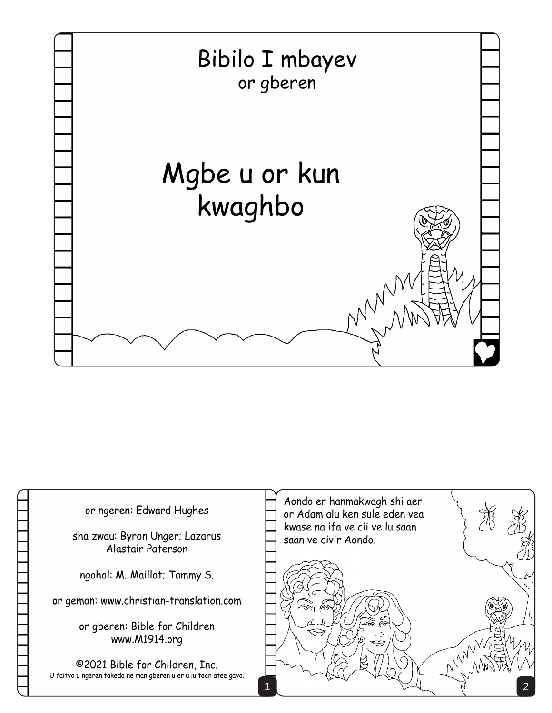

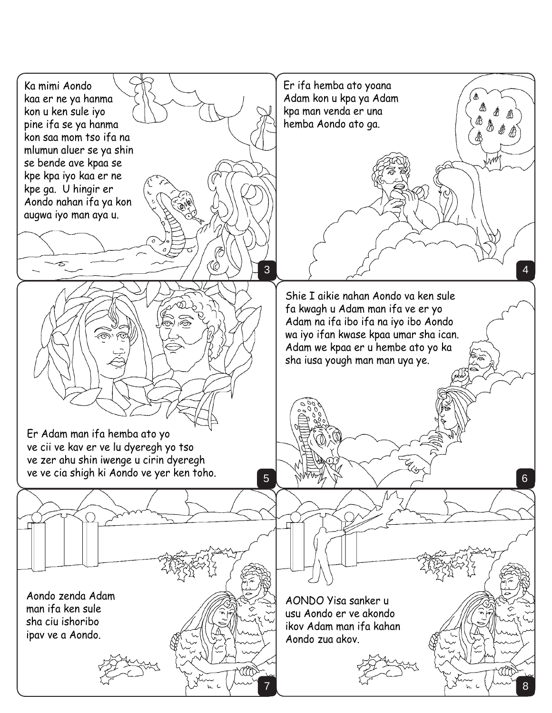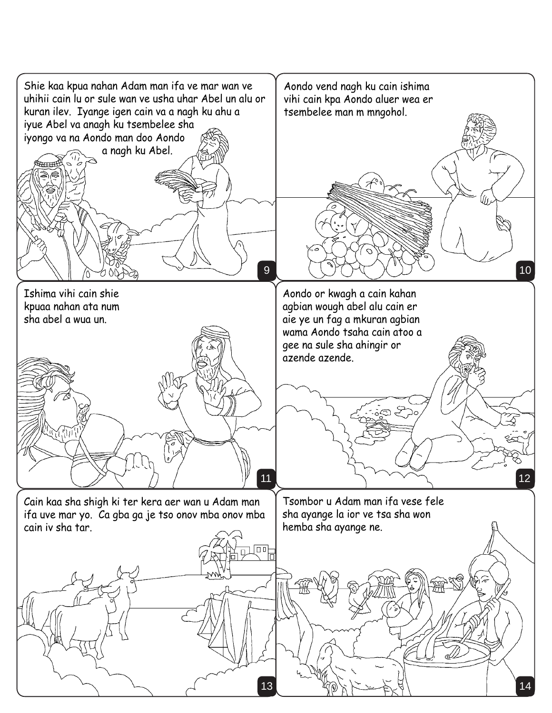